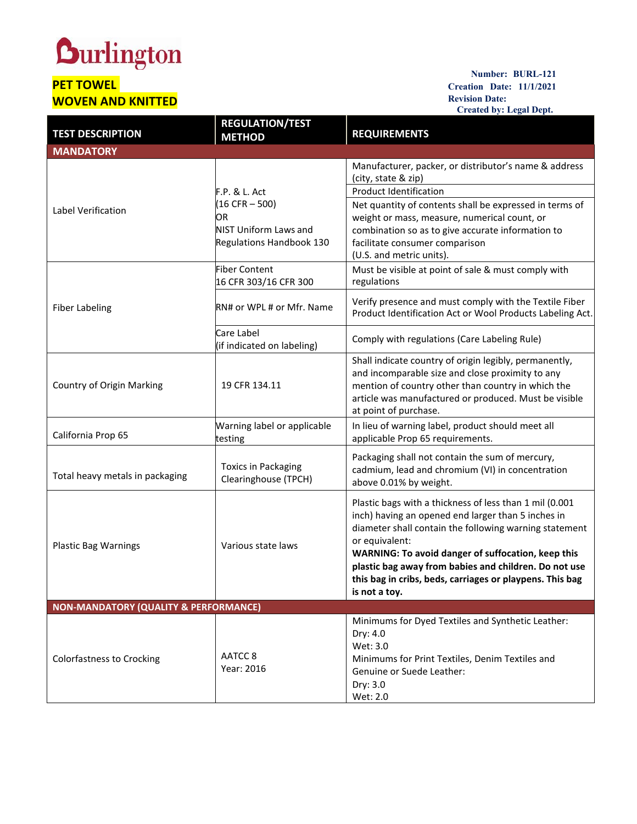## **Durlington**

## **PET TOWEL WOVEN AND KNITTED**

## **Number: BURL-121 Creation Date: 11/1/2021 Revision Date: Created by: Legal Dept.**

|                                                  |                                                                                              | Created by: Legal Dept.                                                                                                                                                                                                                                                                                                                                                               |  |  |
|--------------------------------------------------|----------------------------------------------------------------------------------------------|---------------------------------------------------------------------------------------------------------------------------------------------------------------------------------------------------------------------------------------------------------------------------------------------------------------------------------------------------------------------------------------|--|--|
| <b>TEST DESCRIPTION</b>                          | <b>REGULATION/TEST</b><br><b>METHOD</b>                                                      | <b>REQUIREMENTS</b>                                                                                                                                                                                                                                                                                                                                                                   |  |  |
| <b>MANDATORY</b>                                 |                                                                                              |                                                                                                                                                                                                                                                                                                                                                                                       |  |  |
| Label Verification                               | F.P. & L. Act<br>$(16 CFR - 500)$<br>OR<br>NIST Uniform Laws and<br>Regulations Handbook 130 | Manufacturer, packer, or distributor's name & address<br>(city, state & zip)<br><b>Product Identification</b><br>Net quantity of contents shall be expressed in terms of<br>weight or mass, measure, numerical count, or<br>combination so as to give accurate information to<br>facilitate consumer comparison<br>(U.S. and metric units).                                           |  |  |
| <b>Fiber Labeling</b>                            | <b>Fiber Content</b><br>16 CFR 303/16 CFR 300                                                | Must be visible at point of sale & must comply with<br>regulations                                                                                                                                                                                                                                                                                                                    |  |  |
|                                                  | RN# or WPL # or Mfr. Name                                                                    | Verify presence and must comply with the Textile Fiber<br>Product Identification Act or Wool Products Labeling Act.                                                                                                                                                                                                                                                                   |  |  |
|                                                  | Care Label<br>(if indicated on labeling)                                                     | Comply with regulations (Care Labeling Rule)                                                                                                                                                                                                                                                                                                                                          |  |  |
| <b>Country of Origin Marking</b>                 | 19 CFR 134.11                                                                                | Shall indicate country of origin legibly, permanently,<br>and incomparable size and close proximity to any<br>mention of country other than country in which the<br>article was manufactured or produced. Must be visible<br>at point of purchase.                                                                                                                                    |  |  |
| California Prop 65                               | Warning label or applicable<br>testing                                                       | In lieu of warning label, product should meet all<br>applicable Prop 65 requirements.                                                                                                                                                                                                                                                                                                 |  |  |
| Total heavy metals in packaging                  | <b>Toxics in Packaging</b><br>Clearinghouse (TPCH)                                           | Packaging shall not contain the sum of mercury,<br>cadmium, lead and chromium (VI) in concentration<br>above 0.01% by weight.                                                                                                                                                                                                                                                         |  |  |
| <b>Plastic Bag Warnings</b>                      | Various state laws                                                                           | Plastic bags with a thickness of less than 1 mil (0.001<br>inch) having an opened end larger than 5 inches in<br>diameter shall contain the following warning statement<br>or equivalent:<br>WARNING: To avoid danger of suffocation, keep this<br>plastic bag away from babies and children. Do not use<br>this bag in cribs, beds, carriages or playpens. This bag<br>is not a toy. |  |  |
| <b>NON-MANDATORY (QUALITY &amp; PERFORMANCE)</b> |                                                                                              |                                                                                                                                                                                                                                                                                                                                                                                       |  |  |
| <b>Colorfastness to Crocking</b>                 | AATCC 8<br>Year: 2016                                                                        | Minimums for Dyed Textiles and Synthetic Leather:<br>Dry: 4.0<br>Wet: 3.0<br>Minimums for Print Textiles, Denim Textiles and<br>Genuine or Suede Leather:<br>Dry: 3.0<br>Wet: 2.0                                                                                                                                                                                                     |  |  |